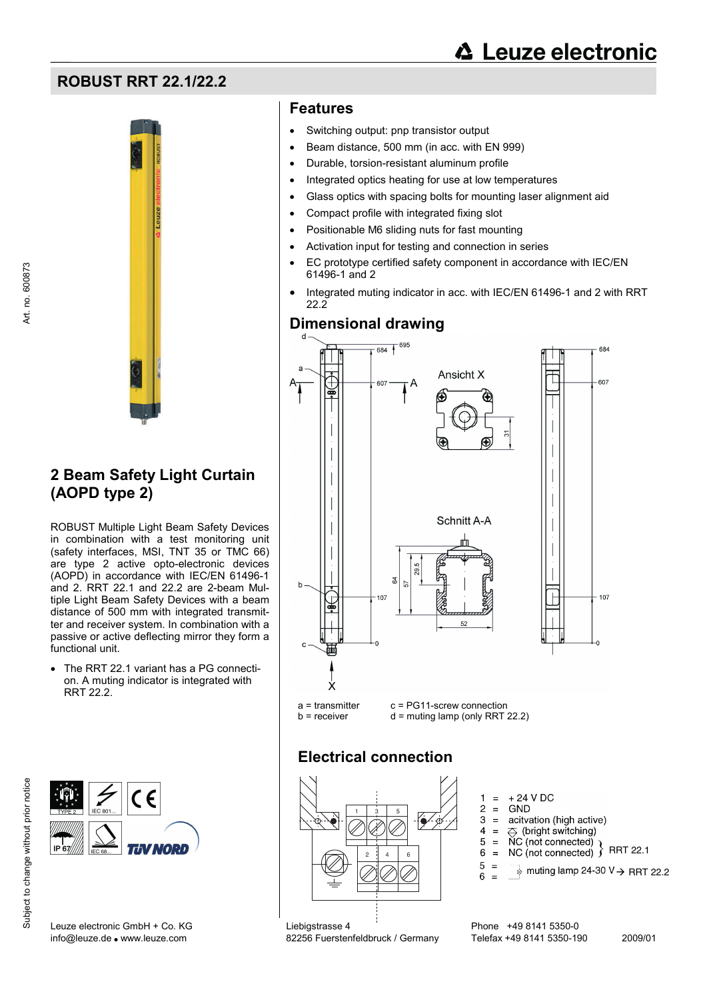# **FIGURER RRT 22.1/22.2 COLLEGE DATA CONTROLLER CONTROLLER CONTROLLER CONTROLLER CONTROLLER CONTROLLER CONTROLLER CONTROLLER CONTROLLER CONTROLLER CONTROLLER CONTROLLER CONTROLLER CONTROLLER CONTROLLER CONTROLLER CONTROLL**



# **2 Beam Safety Light Curtain (AOPD type 2)**

ROBUST Multiple Light Beam Safety Devices in combination with a test monitoring unit (safety interfaces, MSI, TNT 35 or TMC 66) are type 2 active opto-electronic devices (AOPD) in accordance with IEC/EN 61496-1 and 2. RRT 22.1 and 22.2 are 2-beam Multiple Light Beam Safety Devices with a beam distance of 500 mm with integrated transmitter and receiver system. In combination with a passive or active deflecting mirror they form a functional unit.

• The RRT 22.1 variant has a PG connection. A muting indicator is integrated with RRT 22.2.



## **Features**

- Switching output: pnp transistor output
- Beam distance, 500 mm (in acc. with EN 999)
- Durable, torsion-resistant aluminum profile
- Integrated optics heating for use at low temperatures
- Glass optics with spacing bolts for mounting laser alignment aid
- Compact profile with integrated fixing slot
- Positionable M6 sliding nuts for fast mounting
- Activation input for testing and connection in series
- EC prototype certified safety component in accordance with IEC/EN 61496-1 and 2
- Integrated muting indicator in acc. with IEC/EN 61496-1 and 2 with RRT 22.2

# **Dimensional drawing**



# **Electrical connection**



 $+24$  V DC  $=$ 

 $\mathbf{1}$ 

- $\overline{\mathbf{c}}$  $\equiv$ GND 3 acitvation (high active)  $\equiv$
- $\Leftrightarrow$  (bright switching)  $\overline{4}$  $=$
- 
- $5 = \text{NC} (\text{not connected})$ <br>  $6 = \text{NC} (\text{not connected})$  RRT 22.1
- $\overline{5}$  $\equiv$  $\frac{1}{6}$  muting lamp 24-30 V  $\rightarrow$  RRT 22.2  $\boldsymbol{6}$

Subject to change without prior notice

Art. no. 600873

Art. no. 600873

Leuze electronic GmbH + Co. KG Liebigstrasse 4 Phone +49 8141 5350-0

info@leuze.de ● www.leuze.com 82256 Fuerstenfeldbruck / Germany Telefax +49 8141 5350-190 2009/01